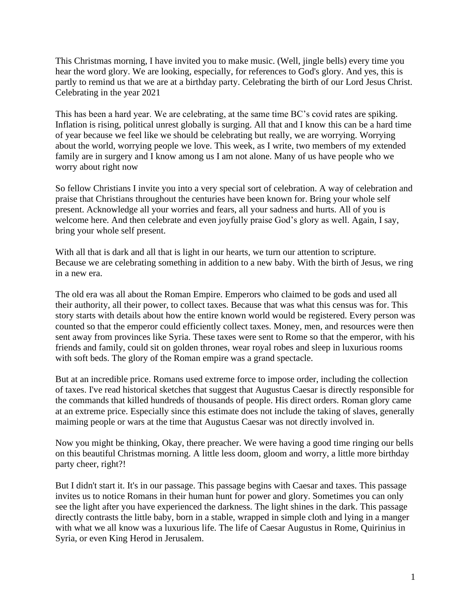This Christmas morning, I have invited you to make music. (Well, jingle bells) every time you hear the word glory. We are looking, especially, for references to God's glory. And yes, this is partly to remind us that we are at a birthday party. Celebrating the birth of our Lord Jesus Christ. Celebrating in the year 2021

This has been a hard year. We are celebrating, at the same time BC's covid rates are spiking. Inflation is rising, political unrest globally is surging. All that and I know this can be a hard time of year because we feel like we should be celebrating but really, we are worrying. Worrying about the world, worrying people we love. This week, as I write, two members of my extended family are in surgery and I know among us I am not alone. Many of us have people who we worry about right now

So fellow Christians I invite you into a very special sort of celebration. A way of celebration and praise that Christians throughout the centuries have been known for. Bring your whole self present. Acknowledge all your worries and fears, all your sadness and hurts. All of you is welcome here. And then celebrate and even joyfully praise God's glory as well. Again, I say, bring your whole self present.

With all that is dark and all that is light in our hearts, we turn our attention to scripture. Because we are celebrating something in addition to a new baby. With the birth of Jesus, we ring in a new era.

The old era was all about the Roman Empire. Emperors who claimed to be gods and used all their authority, all their power, to collect taxes. Because that was what this census was for. This story starts with details about how the entire known world would be registered. Every person was counted so that the emperor could efficiently collect taxes. Money, men, and resources were then sent away from provinces like Syria. These taxes were sent to Rome so that the emperor, with his friends and family, could sit on golden thrones, wear royal robes and sleep in luxurious rooms with soft beds. The glory of the Roman empire was a grand spectacle.

But at an incredible price. Romans used extreme force to impose order, including the collection of taxes. I've read historical sketches that suggest that Augustus Caesar is directly responsible for the commands that killed hundreds of thousands of people. His direct orders. Roman glory came at an extreme price. Especially since this estimate does not include the taking of slaves, generally maiming people or wars at the time that Augustus Caesar was not directly involved in.

Now you might be thinking, Okay, there preacher. We were having a good time ringing our bells on this beautiful Christmas morning. A little less doom, gloom and worry, a little more birthday party cheer, right?!

But I didn't start it. It's in our passage. This passage begins with Caesar and taxes. This passage invites us to notice Romans in their human hunt for power and glory. Sometimes you can only see the light after you have experienced the darkness. The light shines in the dark. This passage directly contrasts the little baby, born in a stable, wrapped in simple cloth and lying in a manger with what we all know was a luxurious life. The life of Caesar Augustus in Rome, Quirinius in Syria, or even King Herod in Jerusalem.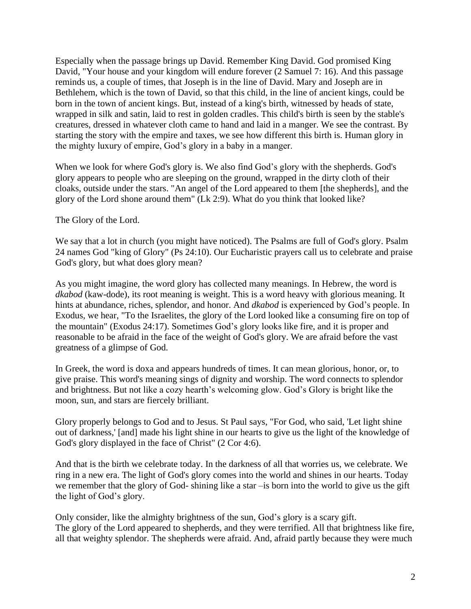Especially when the passage brings up David. Remember King David. God promised King David, "Your house and your kingdom will endure forever (2 Samuel 7: 16). And this passage reminds us, a couple of times, that Joseph is in the line of David. Mary and Joseph are in Bethlehem, which is the town of David, so that this child, in the line of ancient kings, could be born in the town of ancient kings. But, instead of a king's birth, witnessed by heads of state, wrapped in silk and satin, laid to rest in golden cradles. This child's birth is seen by the stable's creatures, dressed in whatever cloth came to hand and laid in a manger. We see the contrast. By starting the story with the empire and taxes, we see how different this birth is. Human glory in the mighty luxury of empire, God's glory in a baby in a manger.

When we look for where God's glory is. We also find God's glory with the shepherds. God's glory appears to people who are sleeping on the ground, wrapped in the dirty cloth of their cloaks, outside under the stars. "An angel of the Lord appeared to them [the shepherds], and the glory of the Lord shone around them" (Lk 2:9). What do you think that looked like?

The Glory of the Lord.

We say that a lot in church (you might have noticed). The Psalms are full of God's glory. Psalm 24 names God "king of Glory" (Ps 24:10). Our Eucharistic prayers call us to celebrate and praise God's glory, but what does glory mean?

As you might imagine, the word glory has collected many meanings. In Hebrew, the word is *dkabod* (kaw-dode), its root meaning is weight. This is a word heavy with glorious meaning. It hints at abundance, riches, splendor, and honor. And *dkabod* is experienced by God's people. In Exodus, we hear, "To the Israelites, the glory of the Lord looked like a consuming fire on top of the mountain" (Exodus 24:17). Sometimes God's glory looks like fire, and it is proper and reasonable to be afraid in the face of the weight of God's glory. We are afraid before the vast greatness of a glimpse of God.

In Greek, the word is doxa and appears hundreds of times. It can mean glorious, honor, or, to give praise. This word's meaning sings of dignity and worship. The word connects to splendor and brightness. But not like a cozy hearth's welcoming glow. God's Glory is bright like the moon, sun, and stars are fiercely brilliant.

Glory properly belongs to God and to Jesus. St Paul says, "For God, who said, 'Let light shine out of darkness,' [and] made his light shine in our hearts to give us the light of the knowledge of God's glory displayed in the face of Christ" (2 Cor 4:6).

And that is the birth we celebrate today. In the darkness of all that worries us, we celebrate. We ring in a new era. The light of God's glory comes into the world and shines in our hearts. Today we remember that the glory of God- shining like a star –is born into the world to give us the gift the light of God's glory.

Only consider, like the almighty brightness of the sun, God's glory is a scary gift. The glory of the Lord appeared to shepherds, and they were terrified. All that brightness like fire, all that weighty splendor. The shepherds were afraid. And, afraid partly because they were much